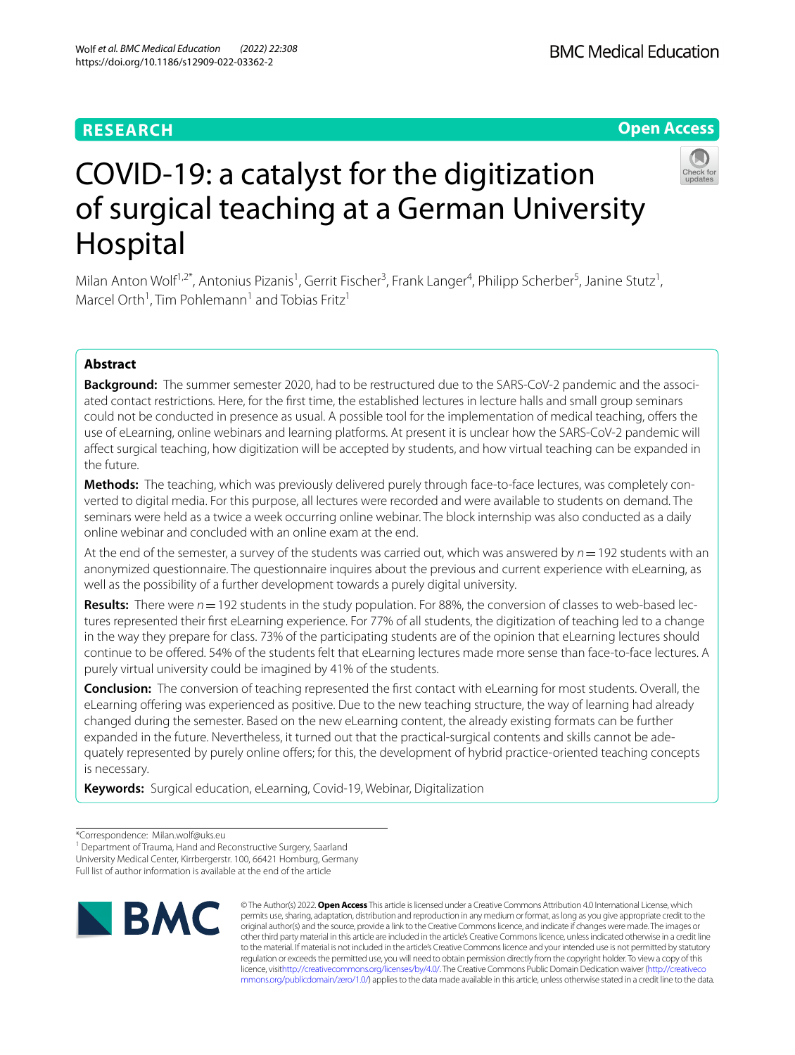# **RESEARCH**

# **Open Access**



# COVID-19: a catalyst for the digitization of surgical teaching at a German University Hospital

Milan Anton Wolf<sup>1,2\*</sup>, Antonius Pizanis<sup>1</sup>, Gerrit Fischer<sup>3</sup>, Frank Langer<sup>4</sup>, Philipp Scherber<sup>5</sup>, Janine Stutz<sup>1</sup>, Marcel Orth<sup>1</sup>, Tim Pohlemann<sup>1</sup> and Tobias Fritz<sup>1</sup>

# **Abstract**

**Background:** The summer semester 2020, had to be restructured due to the SARS-CoV-2 pandemic and the associated contact restrictions. Here, for the frst time, the established lectures in lecture halls and small group seminars could not be conducted in presence as usual. A possible tool for the implementation of medical teaching, ofers the use of eLearning, online webinars and learning platforms. At present it is unclear how the SARS-CoV-2 pandemic will afect surgical teaching, how digitization will be accepted by students, and how virtual teaching can be expanded in the future.

**Methods:** The teaching, which was previously delivered purely through face-to-face lectures, was completely converted to digital media. For this purpose, all lectures were recorded and were available to students on demand. The seminars were held as a twice a week occurring online webinar. The block internship was also conducted as a daily online webinar and concluded with an online exam at the end.

At the end of the semester, a survey of the students was carried out, which was answered by *n*=192 students with an anonymized questionnaire. The questionnaire inquires about the previous and current experience with eLearning, as well as the possibility of a further development towards a purely digital university.

**Results:** There were *n*=192 students in the study population. For 88%, the conversion of classes to web-based lectures represented their frst eLearning experience. For 77% of all students, the digitization of teaching led to a change in the way they prepare for class. 73% of the participating students are of the opinion that eLearning lectures should continue to be ofered. 54% of the students felt that eLearning lectures made more sense than face-to-face lectures. A purely virtual university could be imagined by 41% of the students.

**Conclusion:** The conversion of teaching represented the frst contact with eLearning for most students. Overall, the eLearning ofering was experienced as positive. Due to the new teaching structure, the way of learning had already changed during the semester. Based on the new eLearning content, the already existing formats can be further expanded in the future. Nevertheless, it turned out that the practical-surgical contents and skills cannot be adequately represented by purely online offers; for this, the development of hybrid practice-oriented teaching concepts is necessary.

**Keywords:** Surgical education, eLearning, Covid-19, Webinar, Digitalization

Full list of author information is available at the end of the article



© The Author(s) 2022. **Open Access** This article is licensed under a Creative Commons Attribution 4.0 International License, which permits use, sharing, adaptation, distribution and reproduction in any medium or format, as long as you give appropriate credit to the original author(s) and the source, provide a link to the Creative Commons licence, and indicate if changes were made. The images or other third party material in this article are included in the article's Creative Commons licence, unless indicated otherwise in a credit line to the material. If material is not included in the article's Creative Commons licence and your intended use is not permitted by statutory regulation or exceeds the permitted use, you will need to obtain permission directly from the copyright holder. To view a copy of this licence, visi[thttp://creativecommons.org/licenses/by/4.0/](http://creativecommons.org/licenses/by/4.0/). The Creative Commons Public Domain Dedication waiver [\(http://creativeco](http://creativecommons.org/publicdomain/zero/1.0/) [mmons.org/publicdomain/zero/1.0/](http://creativecommons.org/publicdomain/zero/1.0/)) applies to the data made available in this article, unless otherwise stated in a credit line to the data.

<sup>\*</sup>Correspondence: Milan.wolf@uks.eu

<sup>&</sup>lt;sup>1</sup> Department of Trauma, Hand and Reconstructive Surgery, Saarland University Medical Center, Kirrbergerstr. 100, 66421 Homburg, Germany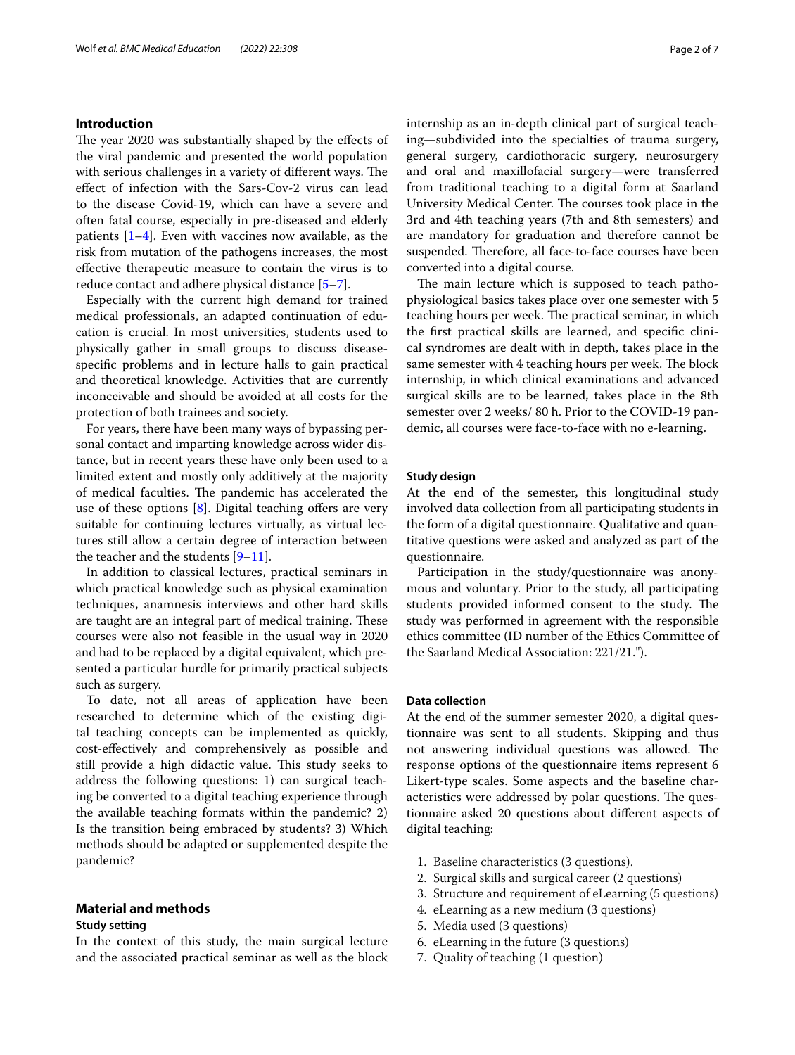## **Introduction**

The year 2020 was substantially shaped by the effects of the viral pandemic and presented the world population with serious challenges in a variety of different ways. The efect of infection with the Sars-Cov-2 virus can lead to the disease Covid-19, which can have a severe and often fatal course, especially in pre-diseased and elderly patients [[1–](#page-5-0)[4\]](#page-5-1). Even with vaccines now available, as the risk from mutation of the pathogens increases, the most efective therapeutic measure to contain the virus is to reduce contact and adhere physical distance [[5–](#page-5-2)[7](#page-6-0)].

Especially with the current high demand for trained medical professionals, an adapted continuation of education is crucial. In most universities, students used to physically gather in small groups to discuss diseasespecifc problems and in lecture halls to gain practical and theoretical knowledge. Activities that are currently inconceivable and should be avoided at all costs for the protection of both trainees and society.

For years, there have been many ways of bypassing personal contact and imparting knowledge across wider distance, but in recent years these have only been used to a limited extent and mostly only additively at the majority of medical faculties. The pandemic has accelerated the use of these options  $[8]$  $[8]$ . Digital teaching offers are very suitable for continuing lectures virtually, as virtual lectures still allow a certain degree of interaction between the teacher and the students  $[9-11]$  $[9-11]$ .

In addition to classical lectures, practical seminars in which practical knowledge such as physical examination techniques, anamnesis interviews and other hard skills are taught are an integral part of medical training. These courses were also not feasible in the usual way in 2020 and had to be replaced by a digital equivalent, which presented a particular hurdle for primarily practical subjects such as surgery.

To date, not all areas of application have been researched to determine which of the existing digital teaching concepts can be implemented as quickly, cost-efectively and comprehensively as possible and still provide a high didactic value. This study seeks to address the following questions: 1) can surgical teaching be converted to a digital teaching experience through the available teaching formats within the pandemic? 2) Is the transition being embraced by students? 3) Which methods should be adapted or supplemented despite the pandemic?

# **Material and methods**

### **Study setting**

In the context of this study, the main surgical lecture and the associated practical seminar as well as the block internship as an in-depth clinical part of surgical teaching—subdivided into the specialties of trauma surgery, general surgery, cardiothoracic surgery, neurosurgery and oral and maxillofacial surgery—were transferred from traditional teaching to a digital form at Saarland University Medical Center. The courses took place in the 3rd and 4th teaching years (7th and 8th semesters) and are mandatory for graduation and therefore cannot be suspended. Therefore, all face-to-face courses have been converted into a digital course.

The main lecture which is supposed to teach pathophysiological basics takes place over one semester with 5 teaching hours per week. The practical seminar, in which the frst practical skills are learned, and specifc clinical syndromes are dealt with in depth, takes place in the same semester with 4 teaching hours per week. The block internship, in which clinical examinations and advanced surgical skills are to be learned, takes place in the 8th semester over 2 weeks/ 80 h. Prior to the COVID-19 pandemic, all courses were face-to-face with no e-learning.

#### **Study design**

At the end of the semester, this longitudinal study involved data collection from all participating students in the form of a digital questionnaire. Qualitative and quantitative questions were asked and analyzed as part of the questionnaire.

Participation in the study/questionnaire was anonymous and voluntary. Prior to the study, all participating students provided informed consent to the study. The study was performed in agreement with the responsible ethics committee (ID number of the Ethics Committee of the Saarland Medical Association: 221/21.").

# **Data collection**

At the end of the summer semester 2020, a digital questionnaire was sent to all students. Skipping and thus not answering individual questions was allowed. The response options of the questionnaire items represent 6 Likert-type scales. Some aspects and the baseline characteristics were addressed by polar questions. The questionnaire asked 20 questions about diferent aspects of digital teaching:

- 1. Baseline characteristics (3 questions).
- 2. Surgical skills and surgical career (2 questions)
- 3. Structure and requirement of eLearning (5 questions)
- 4. eLearning as a new medium (3 questions)
- 5. Media used (3 questions)
- 6. eLearning in the future (3 questions)
- 7. Quality of teaching (1 question)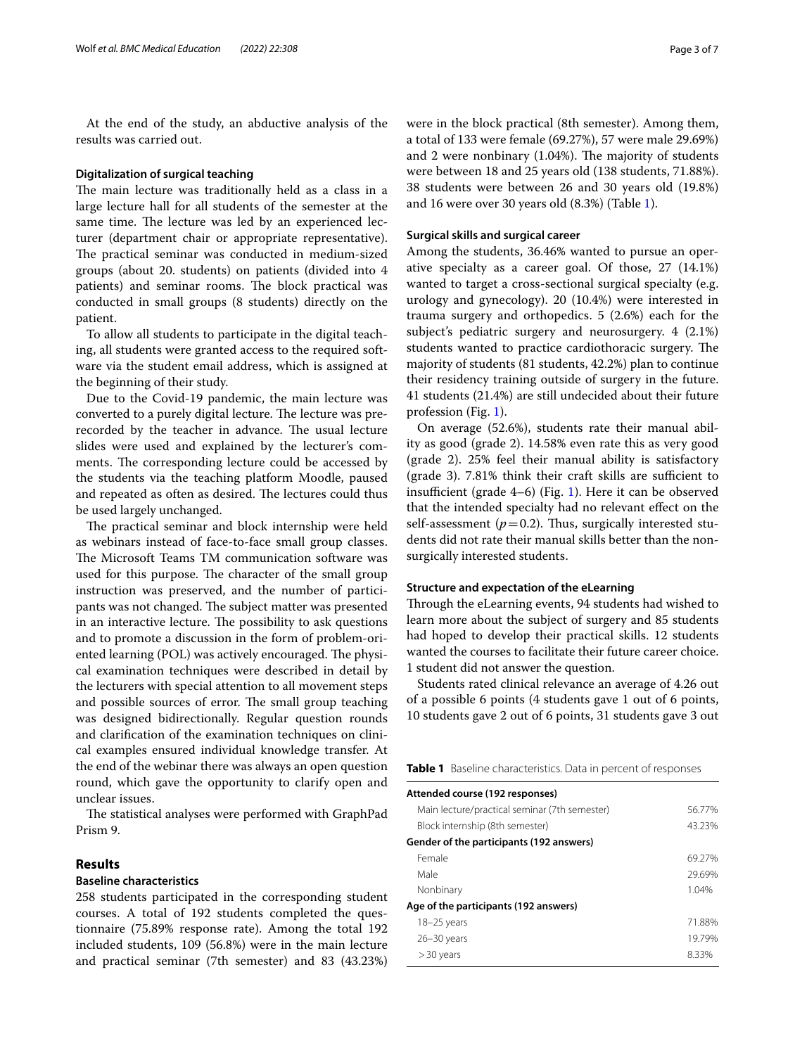At the end of the study, an abductive analysis of the results was carried out.

#### **Digitalization of surgical teaching**

The main lecture was traditionally held as a class in a large lecture hall for all students of the semester at the same time. The lecture was led by an experienced lecturer (department chair or appropriate representative). The practical seminar was conducted in medium-sized groups (about 20. students) on patients (divided into 4 patients) and seminar rooms. The block practical was conducted in small groups (8 students) directly on the patient.

To allow all students to participate in the digital teaching, all students were granted access to the required software via the student email address, which is assigned at the beginning of their study.

Due to the Covid-19 pandemic, the main lecture was converted to a purely digital lecture. The lecture was prerecorded by the teacher in advance. The usual lecture slides were used and explained by the lecturer's comments. The corresponding lecture could be accessed by the students via the teaching platform Moodle, paused and repeated as often as desired. The lectures could thus be used largely unchanged.

The practical seminar and block internship were held as webinars instead of face-to-face small group classes. The Microsoft Teams TM communication software was used for this purpose. The character of the small group instruction was preserved, and the number of participants was not changed. The subject matter was presented in an interactive lecture. The possibility to ask questions and to promote a discussion in the form of problem-oriented learning (POL) was actively encouraged. The physical examination techniques were described in detail by the lecturers with special attention to all movement steps and possible sources of error. The small group teaching was designed bidirectionally. Regular question rounds and clarifcation of the examination techniques on clinical examples ensured individual knowledge transfer. At the end of the webinar there was always an open question round, which gave the opportunity to clarify open and unclear issues.

The statistical analyses were performed with GraphPad Prism 9.

# **Results**

# **Baseline characteristics**

258 students participated in the corresponding student courses. A total of 192 students completed the questionnaire (75.89% response rate). Among the total 192 included students, 109 (56.8%) were in the main lecture and practical seminar (7th semester) and 83 (43.23%) were in the block practical (8th semester). Among them, a total of 133 were female (69.27%), 57 were male 29.69%) and 2 were nonbinary  $(1.04%)$ . The majority of students were between 18 and 25 years old (138 students, 71.88%). 38 students were between 26 and 30 years old (19.8%) and 16 were over 30 years old (8.3%) (Table [1\)](#page-2-0).

## **Surgical skills and surgical career**

Among the students, 36.46% wanted to pursue an operative specialty as a career goal. Of those, 27 (14.1%) wanted to target a cross-sectional surgical specialty (e.g. urology and gynecology). 20 (10.4%) were interested in trauma surgery and orthopedics. 5 (2.6%) each for the subject's pediatric surgery and neurosurgery. 4 (2.1%) students wanted to practice cardiothoracic surgery. The majority of students (81 students, 42.2%) plan to continue their residency training outside of surgery in the future. 41 students (21.4%) are still undecided about their future profession (Fig. [1\)](#page-3-0).

On average (52.6%), students rate their manual ability as good (grade 2). 14.58% even rate this as very good (grade 2). 25% feel their manual ability is satisfactory  $(grade 3)$ . 7.81% think their craft skills are sufficient to insufficient (grade  $4-6$ ) (Fig. [1](#page-3-0)). Here it can be observed that the intended specialty had no relevant efect on the self-assessment ( $p=0.2$ ). Thus, surgically interested students did not rate their manual skills better than the nonsurgically interested students.

## **Structure and expectation of the eLearning**

Through the eLearning events, 94 students had wished to learn more about the subject of surgery and 85 students had hoped to develop their practical skills. 12 students wanted the courses to facilitate their future career choice. 1 student did not answer the question.

Students rated clinical relevance an average of 4.26 out of a possible 6 points (4 students gave 1 out of 6 points, 10 students gave 2 out of 6 points, 31 students gave 3 out

<span id="page-2-0"></span>

| Table 1 Baseline characteristics. Data in percent of responses |  |
|----------------------------------------------------------------|--|
|----------------------------------------------------------------|--|

| Attended course (192 responses)               |        |
|-----------------------------------------------|--------|
| Main lecture/practical seminar (7th semester) | 56.77% |
| Block internship (8th semester)               | 43.23% |
| Gender of the participants (192 answers)      |        |
| Female                                        | 69.27% |
| Male                                          | 29.69% |
| Nonbinary                                     | 1.04%  |
| Age of the participants (192 answers)         |        |
| $18 - 25$ years                               | 71.88% |
| $26 - 30$ years                               | 19.79% |
| $> 30$ years                                  | 8.33%  |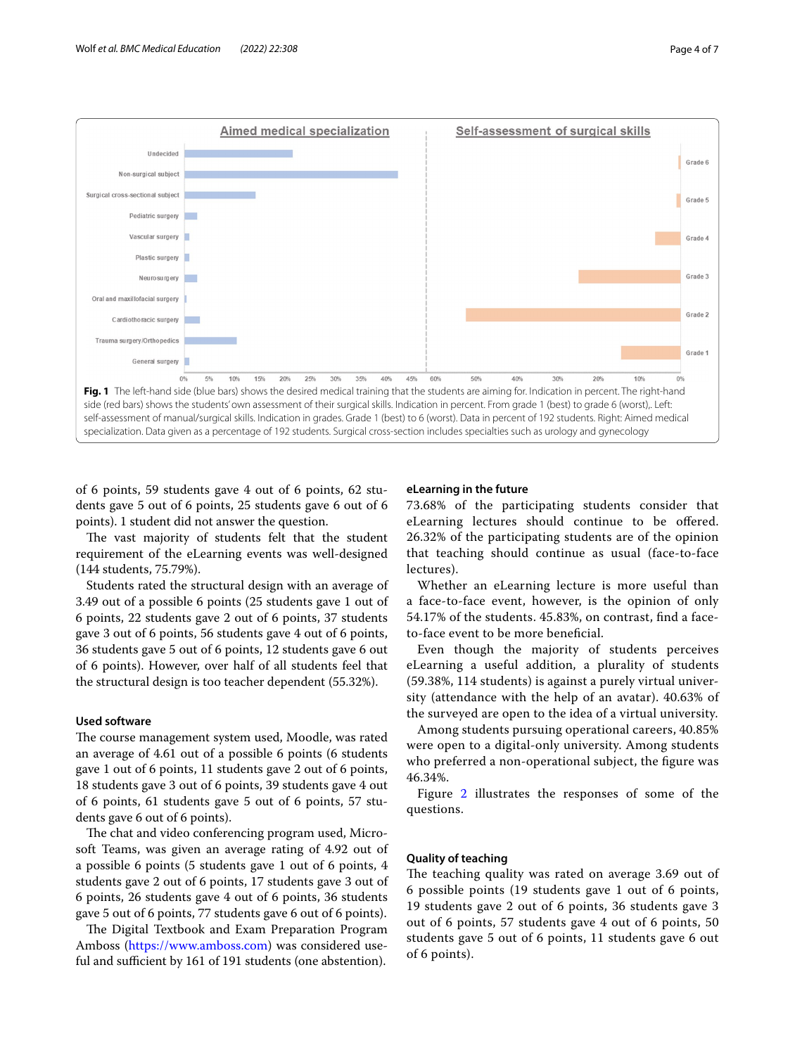

<span id="page-3-0"></span>of 6 points, 59 students gave 4 out of 6 points, 62 students gave 5 out of 6 points, 25 students gave 6 out of 6 points). 1 student did not answer the question.

The vast majority of students felt that the student requirement of the eLearning events was well-designed (144 students, 75.79%).

Students rated the structural design with an average of 3.49 out of a possible 6 points (25 students gave 1 out of 6 points, 22 students gave 2 out of 6 points, 37 students gave 3 out of 6 points, 56 students gave 4 out of 6 points, 36 students gave 5 out of 6 points, 12 students gave 6 out of 6 points). However, over half of all students feel that the structural design is too teacher dependent (55.32%).

# **Used software**

The course management system used, Moodle, was rated an average of 4.61 out of a possible 6 points (6 students gave 1 out of 6 points, 11 students gave 2 out of 6 points, 18 students gave 3 out of 6 points, 39 students gave 4 out of 6 points, 61 students gave 5 out of 6 points, 57 students gave 6 out of 6 points).

The chat and video conferencing program used, Microsoft Teams, was given an average rating of 4.92 out of a possible 6 points (5 students gave 1 out of 6 points, 4 students gave 2 out of 6 points, 17 students gave 3 out of 6 points, 26 students gave 4 out of 6 points, 36 students gave 5 out of 6 points, 77 students gave 6 out of 6 points).

The Digital Textbook and Exam Preparation Program Amboss [\(https://www.amboss.com\)](https://www.amboss.com) was considered useful and sufficient by 161 of 191 students (one abstention).

## **eLearning in the future**

73.68% of the participating students consider that eLearning lectures should continue to be ofered. 26.32% of the participating students are of the opinion that teaching should continue as usual (face-to-face lectures).

Whether an eLearning lecture is more useful than a face-to-face event, however, is the opinion of only 54.17% of the students. 45.83%, on contrast, fnd a faceto-face event to be more benefcial.

Even though the majority of students perceives eLearning a useful addition, a plurality of students (59.38%, 114 students) is against a purely virtual university (attendance with the help of an avatar). 40.63% of the surveyed are open to the idea of a virtual university.

Among students pursuing operational careers, 40.85% were open to a digital-only university. Among students who preferred a non-operational subject, the fgure was 46.34%.

Figure [2](#page-4-0) illustrates the responses of some of the questions.

# **Quality of teaching**

The teaching quality was rated on average 3.69 out of 6 possible points (19 students gave 1 out of 6 points, 19 students gave 2 out of 6 points, 36 students gave 3 out of 6 points, 57 students gave 4 out of 6 points, 50 students gave 5 out of 6 points, 11 students gave 6 out of 6 points).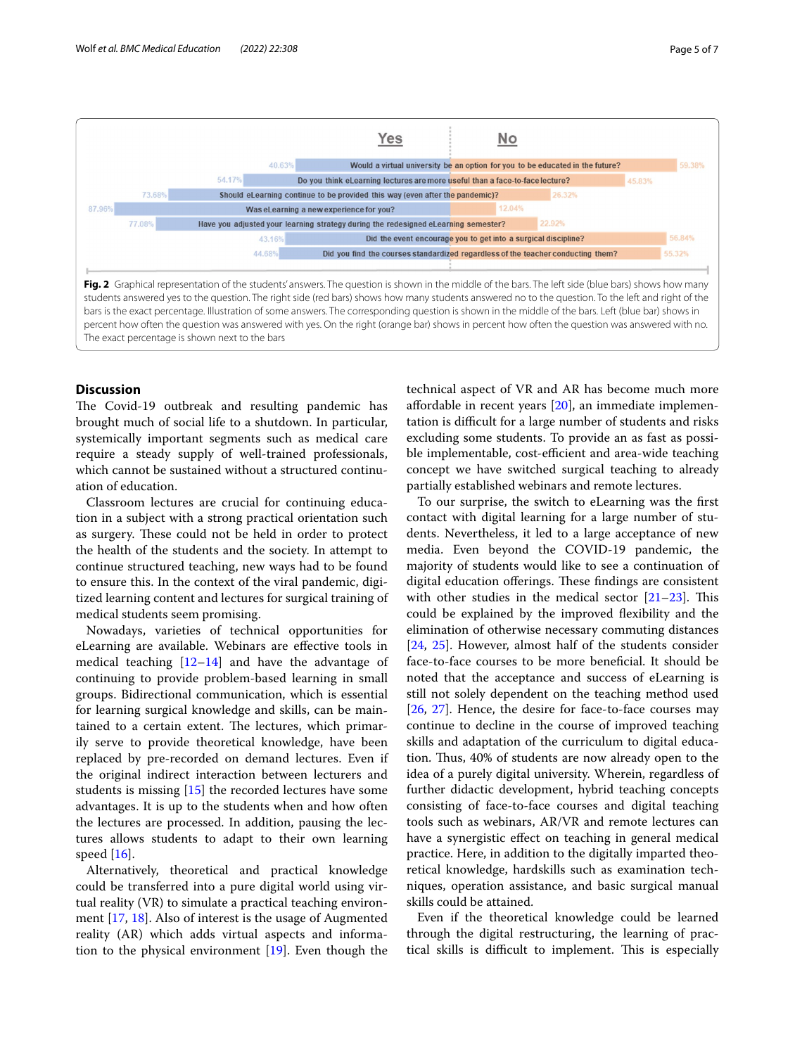



<span id="page-4-0"></span>The exact percentage is shown next to the bars

#### **Discussion**

The Covid-19 outbreak and resulting pandemic has brought much of social life to a shutdown. In particular, systemically important segments such as medical care require a steady supply of well-trained professionals, which cannot be sustained without a structured continuation of education.

Classroom lectures are crucial for continuing education in a subject with a strong practical orientation such as surgery. These could not be held in order to protect the health of the students and the society. In attempt to continue structured teaching, new ways had to be found to ensure this. In the context of the viral pandemic, digitized learning content and lectures for surgical training of medical students seem promising.

Nowadays, varieties of technical opportunities for eLearning are available. Webinars are efective tools in medical teaching  $[12-14]$  $[12-14]$  and have the advantage of continuing to provide problem-based learning in small groups. Bidirectional communication, which is essential for learning surgical knowledge and skills, can be maintained to a certain extent. The lectures, which primarily serve to provide theoretical knowledge, have been replaced by pre-recorded on demand lectures. Even if the original indirect interaction between lecturers and students is missing [[15\]](#page-6-6) the recorded lectures have some advantages. It is up to the students when and how often the lectures are processed. In addition, pausing the lectures allows students to adapt to their own learning speed  $[16]$  $[16]$ .

Alternatively, theoretical and practical knowledge could be transferred into a pure digital world using virtual reality (VR) to simulate a practical teaching environment [[17,](#page-6-8) [18](#page-6-9)]. Also of interest is the usage of Augmented reality (AR) which adds virtual aspects and information to the physical environment [\[19\]](#page-6-10). Even though the technical aspect of VR and AR has become much more afordable in recent years [[20\]](#page-6-11), an immediate implementation is difficult for a large number of students and risks excluding some students. To provide an as fast as possible implementable, cost-efficient and area-wide teaching concept we have switched surgical teaching to already partially established webinars and remote lectures.

To our surprise, the switch to eLearning was the frst contact with digital learning for a large number of students. Nevertheless, it led to a large acceptance of new media. Even beyond the COVID-19 pandemic, the majority of students would like to see a continuation of digital education offerings. These findings are consistent with other studies in the medical sector  $[21-23]$  $[21-23]$  $[21-23]$ . This could be explained by the improved fexibility and the elimination of otherwise necessary commuting distances [[24,](#page-6-14) [25\]](#page-6-15). However, almost half of the students consider face-to-face courses to be more benefcial. It should be noted that the acceptance and success of eLearning is still not solely dependent on the teaching method used [[26,](#page-6-16) [27\]](#page-6-17). Hence, the desire for face-to-face courses may continue to decline in the course of improved teaching skills and adaptation of the curriculum to digital education. Thus, 40% of students are now already open to the idea of a purely digital university. Wherein, regardless of further didactic development, hybrid teaching concepts consisting of face-to-face courses and digital teaching tools such as webinars, AR/VR and remote lectures can have a synergistic efect on teaching in general medical practice. Here, in addition to the digitally imparted theoretical knowledge, hardskills such as examination techniques, operation assistance, and basic surgical manual skills could be attained.

Even if the theoretical knowledge could be learned through the digital restructuring, the learning of practical skills is difficult to implement. This is especially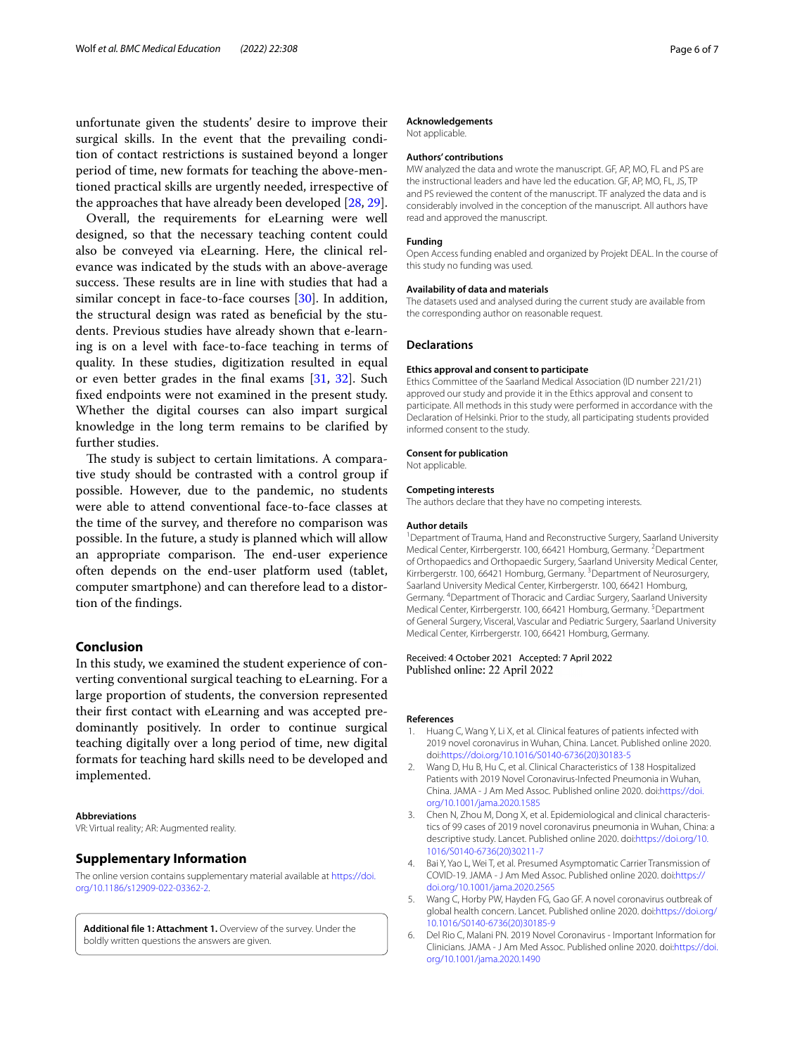unfortunate given the students' desire to improve their surgical skills. In the event that the prevailing condition of contact restrictions is sustained beyond a longer period of time, new formats for teaching the above-mentioned practical skills are urgently needed, irrespective of the approaches that have already been developed [[28,](#page-6-18) [29](#page-6-19)].

Overall, the requirements for eLearning were well designed, so that the necessary teaching content could also be conveyed via eLearning. Here, the clinical relevance was indicated by the studs with an above-average success. These results are in line with studies that had a similar concept in face-to-face courses [[30\]](#page-6-20). In addition, the structural design was rated as benefcial by the students. Previous studies have already shown that e-learning is on a level with face-to-face teaching in terms of quality. In these studies, digitization resulted in equal or even better grades in the fnal exams [\[31](#page-6-21), [32](#page-6-22)]. Such fxed endpoints were not examined in the present study. Whether the digital courses can also impart surgical knowledge in the long term remains to be clarifed by further studies.

The study is subject to certain limitations. A comparative study should be contrasted with a control group if possible. However, due to the pandemic, no students were able to attend conventional face-to-face classes at the time of the survey, and therefore no comparison was possible. In the future, a study is planned which will allow an appropriate comparison. The end-user experience often depends on the end-user platform used (tablet, computer smartphone) and can therefore lead to a distortion of the fndings.

## **Conclusion**

In this study, we examined the student experience of converting conventional surgical teaching to eLearning. For a large proportion of students, the conversion represented their frst contact with eLearning and was accepted predominantly positively. In order to continue surgical teaching digitally over a long period of time, new digital formats for teaching hard skills need to be developed and implemented.

#### **Abbreviations**

VR: Virtual reality; AR: Augmented reality.

### **Supplementary Information**

The online version contains supplementary material available at [https://doi.](https://doi.org/10.1186/s12909-022-03362-2) [org/10.1186/s12909-022-03362-2](https://doi.org/10.1186/s12909-022-03362-2).

**Additional fle 1: Attachment 1.** Overview of the survey. Under the boldly written questions the answers are given.

#### **Acknowledgements**

Not applicable.

## **Authors' contributions**

MW analyzed the data and wrote the manuscript. GF, AP, MO, FL and PS are the instructional leaders and have led the education. GF, AP, MO, FL, JS, TP and PS reviewed the content of the manuscript. TF analyzed the data and is considerably involved in the conception of the manuscript. All authors have read and approved the manuscript.

#### **Funding**

Open Access funding enabled and organized by Projekt DEAL. In the course of this study no funding was used.

#### **Availability of data and materials**

The datasets used and analysed during the current study are available from the corresponding author on reasonable request.

#### **Declarations**

#### **Ethics approval and consent to participate**

Ethics Committee of the Saarland Medical Association (ID number 221/21) approved our study and provide it in the Ethics approval and consent to participate. All methods in this study were performed in accordance with the Declaration of Helsinki. Prior to the study, all participating students provided informed consent to the study.

#### **Consent for publication**

Not applicable.

#### **Competing interests**

The authors declare that they have no competing interests.

#### **Author details**

<sup>1</sup> Department of Trauma, Hand and Reconstructive Surgery, Saarland University Medical Center, Kirrbergerstr. 100, 66421 Homburg, Germany. <sup>2</sup> Department of Orthopaedics and Orthopaedic Surgery, Saarland University Medical Center, Kirrbergerstr. 100, 66421 Homburg, Germany. <sup>3</sup> Department of Neurosurgery, Saarland University Medical Center, Kirrbergerstr. 100, 66421 Homburg, Germany. 4 Department of Thoracic and Cardiac Surgery, Saarland University Medical Center, Kirrbergerstr. 100, 66421 Homburg, Germany. <sup>5</sup>Department of General Surgery, Visceral, Vascular and Pediatric Surgery, Saarland University Medical Center, Kirrbergerstr. 100, 66421 Homburg, Germany.

#### Received: 4 October 2021 Accepted: 7 April 2022 Published online: 22 April 2022

#### **References**

- <span id="page-5-0"></span>1. Huang C, Wang Y, Li X, et al. Clinical features of patients infected with 2019 novel coronavirus in Wuhan, China. Lancet. Published online 2020. doi:[https://doi.org/10.1016/S0140-6736\(20\)30183-5](https://doi.org/10.1016/S0140-6736(20)30183-5)
- 2. Wang D, Hu B, Hu C, et al. Clinical Characteristics of 138 Hospitalized Patients with 2019 Novel Coronavirus-Infected Pneumonia in Wuhan, China. JAMA - J Am Med Assoc. Published online 2020. doi[:https://doi.](https://doi.org/10.1001/jama.2020.1585) [org/10.1001/jama.2020.1585](https://doi.org/10.1001/jama.2020.1585)
- 3. Chen N, Zhou M, Dong X, et al. Epidemiological and clinical characteristics of 99 cases of 2019 novel coronavirus pneumonia in Wuhan, China: a descriptive study. Lancet. Published online 2020. doi[:https://doi.org/10.](https://doi.org/10.1016/S0140-6736(20)30211-7) [1016/S0140-6736\(20\)30211-7](https://doi.org/10.1016/S0140-6736(20)30211-7)
- <span id="page-5-1"></span>4. Bai Y, Yao L, Wei T, et al. Presumed Asymptomatic Carrier Transmission of COVID-19. JAMA - J Am Med Assoc. Published online 2020. doi[:https://](https://doi.org/10.1001/jama.2020.2565) [doi.org/10.1001/jama.2020.2565](https://doi.org/10.1001/jama.2020.2565)
- <span id="page-5-2"></span>5. Wang C, Horby PW, Hayden FG, Gao GF. A novel coronavirus outbreak of global health concern. Lancet. Published online 2020. doi[:https://doi.org/](https://doi.org/10.1016/S0140-6736(20)30185-9) [10.1016/S0140-6736\(20\)30185-9](https://doi.org/10.1016/S0140-6736(20)30185-9)
- 6. Del Rio C, Malani PN. 2019 Novel Coronavirus Important Information for Clinicians. JAMA - J Am Med Assoc. Published online 2020. doi[:https://doi.](https://doi.org/10.1001/jama.2020.1490) [org/10.1001/jama.2020.1490](https://doi.org/10.1001/jama.2020.1490)